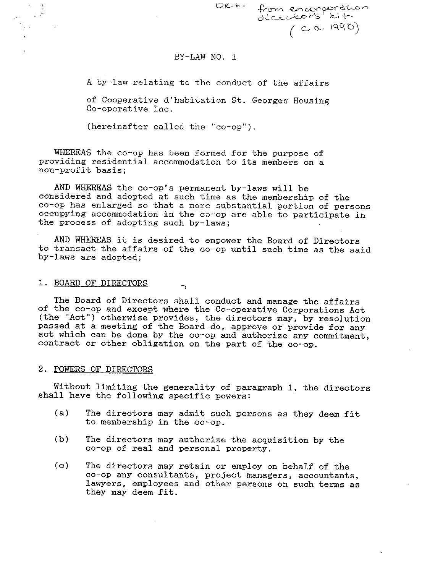ORIO · from encorporation **d~t-9-..-,:\_....--~\_o** *('* **s k.., -r·**   $(1990)$ 

## BY-LAW NO. 1

A by-law relating to the conduct of the affairs

of Cooperative d'habitation St. Georges Housing Co-operative Inc.

(hereinafter called the "co-op").

WHEREAS the co-op has been formed for the purpose of providing resi-dential accommodation to its members on a non-profit basis;

AND WHEREAS the co-op's permanent by-laws will be considered and adopted at such time as the membership of the co-op has enlarged so that a more substantial portion of persons occupying accommodation in the co-op are able to participate in the process of adopting such by-laws;

AND WHEREAS it is desired to empower the Board of Directors to transact the affairs of the co-op until such time as the said by-laws are adopted;

### 1. BOARD OF DIRECTORS

The Board of Directors shall conduct and manage the affairs of the co-op and except where the Co-operative Corporations Act (the "Act") otherwise provides, the directors may, by resolution passed at a meeting of the Board do, approve or provide for any act which can be done by the co-op and authorize any commitment, contract or other obligation on the part of the co-op.

#### 2. POWERS OF DIRECTORS

Without limiting the generality of paragraph 1, the directors shall have the following specific powers:

- (a) The directors may admit such persons as they deem fit to membership in the co-op.
- (b) The directors may authorize the acquisition by the co-op of real and personal property.
- (c) The directors may retain or employ on behalf of the co-op any consultants, project managers, accountants, lawyers, employees and other persons on such terms as they may deem fit.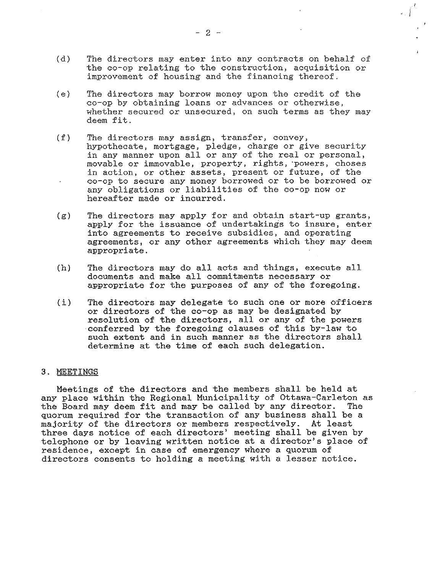- (d) The directors may enter into any contracts on behalf of the co-op relating to the construction, acquisition or improvement of housing and the financing thereof.
- (e) The directors may borrow money upon the credit of the co-op by obtaining loans or advances or otherwise, whether secured or unsecured, on such terms as they may deem fit.
- (f) The directors may assign, transfer, convey, hypothecate, mortgage, pledge, charge or give security in any manner upon all or any of the real or personal, movable or immovable, property, rights, ·powers, choses in action, or other assets, present or future, of the co-op to secure any money borrowed or to be borrowed or any obligations or liabilities of the co-op now or hereafter made or incurred.
- (g) The directors may apply for and obtain start-up grants, apply for the issuance of undertakings to insure, enter into agreements to receive subsidies, and operating agreements, or any other agreements which they may deem appropriate.
- (h) The directors may do all acts and things, execute all documents and make all commitments necessary or appropriate for the purposes of any of the foregoing.
- (i) The directors may delegate to such one or more officers or directors of the co-op as may be designated by resolution of the directors, all or any of the powers conferred by the foregoing clauses of this by-law to such extent and in such manner as the directors shall determine at the time of each such delegation.

# 3. MEETINGS

Meetings of the directors and the members shall be held at any place within the Regional Municipality of Ottawa-Carleton as<br>the Board may deem fit and may be called by any director. The the Board may deem fit and may be called by any director. quorum required for the transaction of any business shall be a majority of the directors or members respectively. At least three days notice of each directors' meeting shall be given by telephone or by leaving written notice at a director's place of residence, except in case of emergency where a quorum of directors consents to holding a meeting with a lesser notice.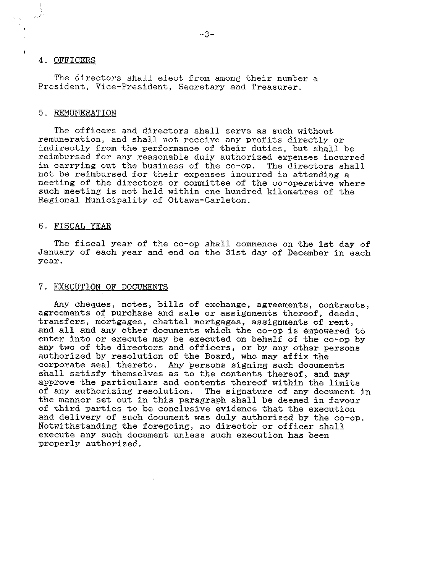## 4. OFFICERS

The directors shall elect from among their number a President, Vice-President, Secretary and Treasurer.

### 5. REMUNERATION

The officers and directors shall serve as such without remuneration, and shall not receive any profits directly or indirectly from the performance of their duties, but shall be reimbursed for any reasonable duly authorized expenses incurred<br>in carrying out the business of the co-op. The directors shall in carrying out the business of the co-op. not be reimbursed for their expenses incurred in attending a meeting of the directors or committee of the co-operative where such meeting is not held within one hundred kilometres of the Regional Municipality of Ottawa-Carleton.

#### 6. FISCAL YEAR

The fiscal year of the co-op shall commence on the 1st day of January of each year and end on the 31st day of December in each year.

## 7. EXECUTION OF DOCUMENTS

Any cheques, notes, bills of exchange, agreements, contracts, agreements of purchase and sale or assignments thereof, deeds, transfers, mortgages, chattel mortgages, assignments of rent, and all and any other documents which the co-op is empowered to enter into or execute may be executed on behalf of the co-op by any two of the directors and officers, or by any other persons authorized by resolution of the Board, who may affix the corporate seal thereto. Any persons signing such documents shall satisfy themselves as to the contents thereof, and may approve the particulars and contents thereof within the limits<br>of any authorizing resolution. The signature of any document The signature of any document in the manner set out in this paragraph shall be deemed in favour of third parties to be conclusive evidence that the execution and delivery of such document was duly authorized by the co-op. Notwithstanding the foregoing, no director or officer shall execute any such document unless such execution has been properly authorized.